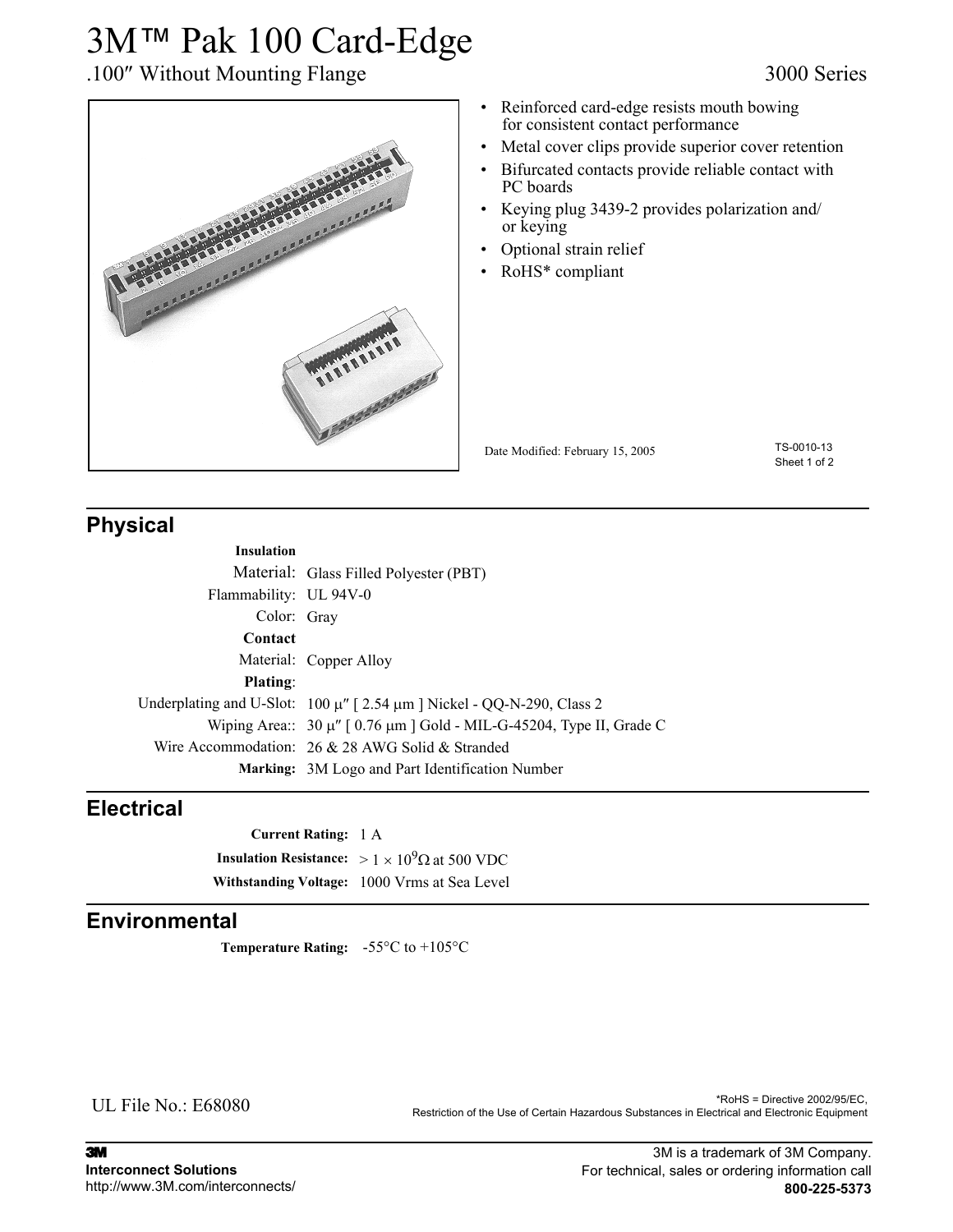# 3M™ Pak 100 Card-Edge

## .100″ Without Mounting Flange 3000 Series



- 
- Reinforced card-edge resists mouth bowing for consistent contact performance
- Metal cover clips provide superior cover retention
- Bifurcated contacts provide reliable contact with PC boards
- Keying plug 3439-2 provides polarization and/ or keying
- Optional strain relief
- RoHS\* compliant

Date Modified: February 15, 2005

TS-0010-13 Sheet 1 of 2

## **Physical**

| <b>Insulation</b>      |                                                                                 |
|------------------------|---------------------------------------------------------------------------------|
|                        | Material: Glass Filled Polyester (PBT)                                          |
| Flammability: UL 94V-0 |                                                                                 |
| Color: Gray            |                                                                                 |
| Contact                |                                                                                 |
|                        | Material: Copper Alloy                                                          |
| <b>Plating:</b>        |                                                                                 |
|                        | Underplating and U-Slot: $100 \mu''$ [2.54 $\mu$ m ] Nickel - QQ-N-290, Class 2 |
|                        | Wiping Area:: $30 \mu$ " [ 0.76 $\mu$ m ] Gold - MIL-G-45204, Type II, Grade C  |
|                        | Wire Accommodation: $26 \& 28$ AWG Solid & Stranded                             |
|                        | <b>Marking:</b> 3M Logo and Part Identification Number                          |
|                        |                                                                                 |

### **Electrical**

**Current Rating:** 1 A **Insulation Resistance:** >  $1 \times 10^9 \Omega$  at 500 VDC **Withstanding Voltage:** 1000 Vrms at Sea Level

### **Environmental**

**Temperature Rating:** -55°C to +105°C

UL File No.: E68080

\*RoHS = Directive 2002/95/EC, Restriction of the Use of Certain Hazardous Substances in Electrical and Electronic Equipment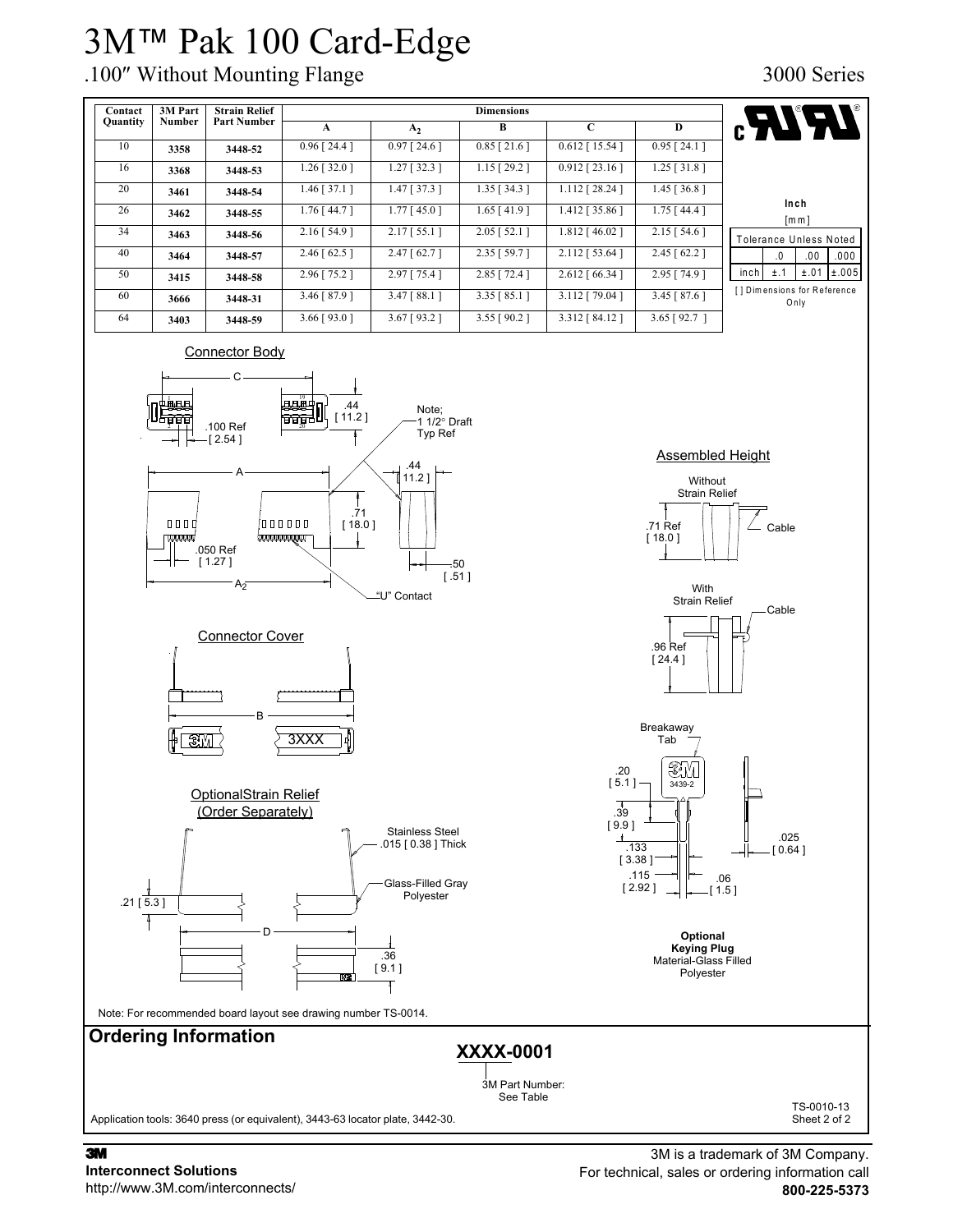# 3M™ Pak 100 Card-Edge

# .100″ Without Mounting Flange 3000 Series



3M **Interconnect Solutions** http://www.3M.com/interconnects/